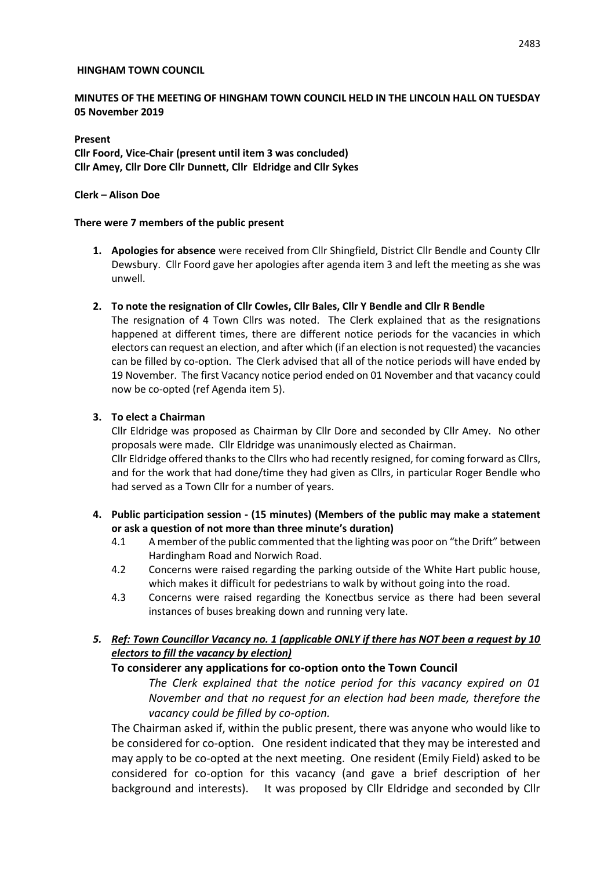#### **HINGHAM TOWN COUNCIL**

### **MINUTES OF THE MEETING OF HINGHAM TOWN COUNCIL HELD IN THE LINCOLN HALL ON TUESDAY 05 November 2019**

### **Present Cllr Foord, Vice-Chair (present until item 3 was concluded) Cllr Amey, Cllr Dore Cllr Dunnett, Cllr Eldridge and Cllr Sykes**

#### **Clerk – Alison Doe**

#### **There were 7 members of the public present**

- **1. Apologies for absence** were received from Cllr Shingfield, District Cllr Bendle and County Cllr Dewsbury. Cllr Foord gave her apologies after agenda item 3 and left the meeting as she was unwell.
- **2. To note the resignation of Cllr Cowles, Cllr Bales, Cllr Y Bendle and Cllr R Bendle**

The resignation of 4 Town Cllrs was noted. The Clerk explained that as the resignations happened at different times, there are different notice periods for the vacancies in which electors can request an election, and after which (if an election is not requested) the vacancies can be filled by co-option. The Clerk advised that all of the notice periods will have ended by 19 November. The first Vacancy notice period ended on 01 November and that vacancy could now be co-opted (ref Agenda item 5).

#### **3. To elect a Chairman**

Cllr Eldridge was proposed as Chairman by Cllr Dore and seconded by Cllr Amey. No other proposals were made. Cllr Eldridge was unanimously elected as Chairman.

Cllr Eldridge offered thanks to the Cllrs who had recently resigned, for coming forward as Cllrs, and for the work that had done/time they had given as Cllrs, in particular Roger Bendle who had served as a Town Cllr for a number of years.

- **4. Public participation session - (15 minutes) (Members of the public may make a statement or ask a question of not more than three minute's duration)**
	- 4.1 A member of the public commented that the lighting was poor on "the Drift" between Hardingham Road and Norwich Road.
	- 4.2 Concerns were raised regarding the parking outside of the White Hart public house, which makes it difficult for pedestrians to walk by without going into the road.
	- 4.3 Concerns were raised regarding the Konectbus service as there had been several instances of buses breaking down and running very late.

## *5. Ref: Town Councillor Vacancy no. 1 (applicable ONLY if there has NOT been a request by 10 electors to fill the vacancy by election)*

### **To considerer any applications for co-option onto the Town Council**

*The Clerk explained that the notice period for this vacancy expired on 01 November and that no request for an election had been made, therefore the vacancy could be filled by co-option.*

The Chairman asked if, within the public present, there was anyone who would like to be considered for co-option. One resident indicated that they may be interested and may apply to be co-opted at the next meeting. One resident (Emily Field) asked to be considered for co-option for this vacancy (and gave a brief description of her background and interests). It was proposed by Cllr Eldridge and seconded by Cllr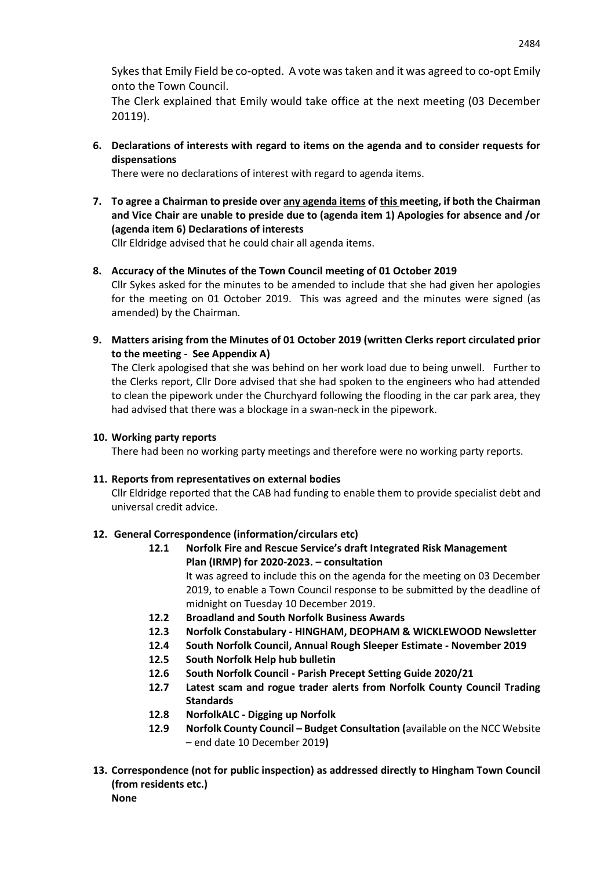Sykes that Emily Field be co-opted. A vote was taken and it was agreed to co-opt Emily onto the Town Council.

The Clerk explained that Emily would take office at the next meeting (03 December 20119).

**6. Declarations of interests with regard to items on the agenda and to consider requests for dispensations**

There were no declarations of interest with regard to agenda items.

**7. To agree a Chairman to preside over any agenda items of this meeting, if both the Chairman and Vice Chair are unable to preside due to (agenda item 1) Apologies for absence and /or (agenda item 6) Declarations of interests**

Cllr Eldridge advised that he could chair all agenda items.

## **8. Accuracy of the Minutes of the Town Council meeting of 01 October 2019**

Cllr Sykes asked for the minutes to be amended to include that she had given her apologies for the meeting on 01 October 2019. This was agreed and the minutes were signed (as amended) by the Chairman.

**9. Matters arising from the Minutes of 01 October 2019 (written Clerks report circulated prior to the meeting - See Appendix A)**

The Clerk apologised that she was behind on her work load due to being unwell. Further to the Clerks report, Cllr Dore advised that she had spoken to the engineers who had attended to clean the pipework under the Churchyard following the flooding in the car park area, they had advised that there was a blockage in a swan-neck in the pipework.

### **10. Working party reports**

There had been no working party meetings and therefore were no working party reports.

### **11. Reports from representatives on external bodies**

Cllr Eldridge reported that the CAB had funding to enable them to provide specialist debt and universal credit advice.

### **12. General Correspondence (information/circulars etc)**

**12.1 Norfolk Fire and Rescue Service's draft Integrated Risk Management Plan (IRMP) for 2020-2023. – consultation**

It was agreed to include this on the agenda for the meeting on 03 December 2019, to enable a Town Council response to be submitted by the deadline of midnight on Tuesday 10 December 2019.

- **12.2 Broadland and South Norfolk Business Awards**
- **12.3 Norfolk Constabulary - HINGHAM, DEOPHAM & WICKLEWOOD Newsletter**
- **12.4 South Norfolk Council, Annual Rough Sleeper Estimate - November 2019**
- **12.5 South Norfolk Help hub bulletin**
- **12.6 South Norfolk Council - Parish Precept Setting Guide 2020/21**
- **12.7 Latest scam and rogue trader alerts from Norfolk County Council Trading Standards**
- **12.8 NorfolkALC - Digging up Norfolk**
- **12.9 Norfolk County Council – Budget Consultation (**available on the NCC Website – end date 10 December 2019**)**
- **13. Correspondence (not for public inspection) as addressed directly to Hingham Town Council (from residents etc.) None**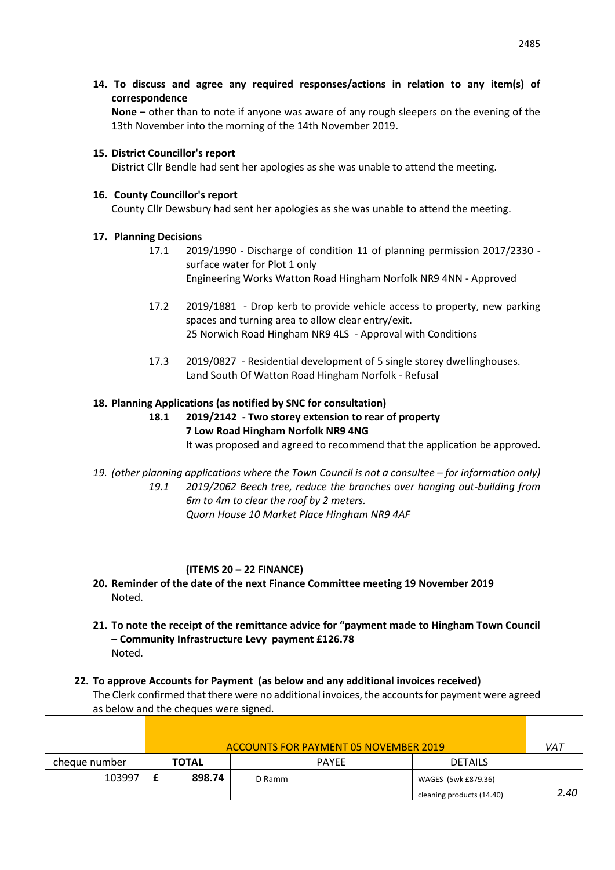**14. To discuss and agree any required responses/actions in relation to any item(s) of correspondence** 

**None –** other than to note if anyone was aware of any rough sleepers on the evening of the 13th November into the morning of the 14th November 2019.

#### **15. District Councillor's report**

District Cllr Bendle had sent her apologies as she was unable to attend the meeting.

#### **16. County Councillor's report**

County Cllr Dewsbury had sent her apologies as she was unable to attend the meeting.

### **17. Planning Decisions**

- 17.1 2019/1990 Discharge of condition 11 of planning permission 2017/2330 surface water for Plot 1 only Engineering Works Watton Road Hingham Norfolk NR9 4NN - Approved
- 17.2 2019/1881 Drop kerb to provide vehicle access to property, new parking spaces and turning area to allow clear entry/exit. 25 Norwich Road Hingham NR9 4LS - Approval with Conditions
- 17.3 2019/0827 Residential development of 5 single storey dwellinghouses. Land South Of Watton Road Hingham Norfolk - Refusal

### **18. Planning Applications (as notified by SNC for consultation)**

- **18.1 2019/2142 - Two storey extension to rear of property 7 Low Road Hingham Norfolk NR9 4NG** It was proposed and agreed to recommend that the application be approved.
- 19. *(other planning applications where the Town Council is not a consultee for information only) 19.1 2019/2062 Beech tree, reduce the branches over hanging out-building from 6m to 4m to clear the roof by 2 meters. Quorn House 10 Market Place Hingham NR9 4AF*

### **(ITEMS 20 – 22 FINANCE)**

- **20. Reminder of the date of the next Finance Committee meeting 19 November 2019** Noted.
- **21. To note the receipt of the remittance advice for "payment made to Hingham Town Council – Community Infrastructure Levy payment £126.78** Noted.
- **22. To approve Accounts for Payment (as below and any additional invoices received)** The Clerk confirmed that there were no additional invoices, the accounts for payment were agreed as below and the cheques were signed.

|               | ACCOUNTS FOR PAYMENT 05 NOVEMBER 2019 |              |  |              |                           | VAT  |
|---------------|---------------------------------------|--------------|--|--------------|---------------------------|------|
| cheque number |                                       | <b>TOTAL</b> |  | <b>PAYEE</b> | <b>DETAILS</b>            |      |
| 103997        |                                       | 898.74       |  | D Ramm       | WAGES (5wk £879.36)       |      |
|               |                                       |              |  |              | cleaning products (14.40) | 2.40 |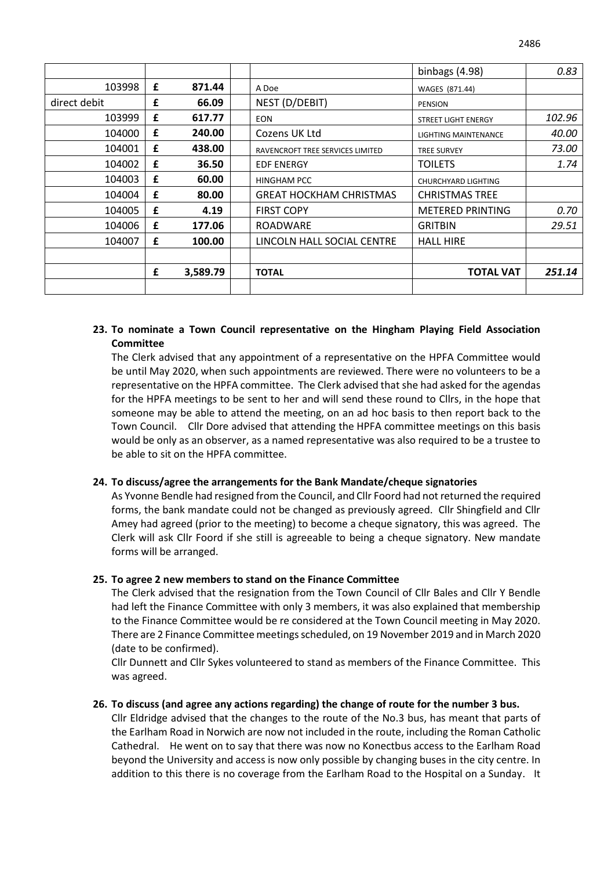|              |   |          |                                  | binbags $(4.98)$           | 0.83   |
|--------------|---|----------|----------------------------------|----------------------------|--------|
| 103998       | £ | 871.44   | A Doe                            | WAGES (871.44)             |        |
| direct debit | £ | 66.09    | NEST (D/DEBIT)                   | <b>PENSION</b>             |        |
| 103999       | £ | 617.77   | <b>EON</b>                       | <b>STREET LIGHT ENERGY</b> | 102.96 |
| 104000       | £ | 240.00   | Cozens UK Ltd                    | LIGHTING MAINTENANCE       | 40.00  |
| 104001       | £ | 438.00   | RAVENCROFT TREE SERVICES LIMITED | <b>TREE SURVEY</b>         | 73.00  |
| 104002       | £ | 36.50    | <b>EDF ENERGY</b>                | <b>TOILETS</b>             | 1.74   |
| 104003       | £ | 60.00    | <b>HINGHAM PCC</b>               | CHURCHYARD LIGHTING        |        |
| 104004       | £ | 80.00    | <b>GREAT HOCKHAM CHRISTMAS</b>   | <b>CHRISTMAS TREE</b>      |        |
| 104005       | £ | 4.19     | <b>FIRST COPY</b>                | <b>METERED PRINTING</b>    | 0.70   |
| 104006       | £ | 177.06   | <b>ROADWARE</b>                  | <b>GRITBIN</b>             | 29.51  |
| 104007       | £ | 100.00   | LINCOLN HALL SOCIAL CENTRE       | <b>HALL HIRE</b>           |        |
|              |   |          |                                  |                            |        |
|              | £ | 3,589.79 | <b>TOTAL</b>                     | <b>TOTAL VAT</b>           | 251.14 |
|              |   |          |                                  |                            |        |

### **23. To nominate a Town Council representative on the Hingham Playing Field Association Committee**

The Clerk advised that any appointment of a representative on the HPFA Committee would be until May 2020, when such appointments are reviewed. There were no volunteers to be a representative on the HPFA committee. The Clerk advised that she had asked for the agendas for the HPFA meetings to be sent to her and will send these round to Cllrs, in the hope that someone may be able to attend the meeting, on an ad hoc basis to then report back to the Town Council. Cllr Dore advised that attending the HPFA committee meetings on this basis would be only as an observer, as a named representative was also required to be a trustee to be able to sit on the HPFA committee.

#### **24. To discuss/agree the arrangements for the Bank Mandate/cheque signatories**

As Yvonne Bendle had resigned from the Council, and Cllr Foord had not returned the required forms, the bank mandate could not be changed as previously agreed. Cllr Shingfield and Cllr Amey had agreed (prior to the meeting) to become a cheque signatory, this was agreed. The Clerk will ask Cllr Foord if she still is agreeable to being a cheque signatory. New mandate forms will be arranged.

#### **25. To agree 2 new members to stand on the Finance Committee**

The Clerk advised that the resignation from the Town Council of Cllr Bales and Cllr Y Bendle had left the Finance Committee with only 3 members, it was also explained that membership to the Finance Committee would be re considered at the Town Council meeting in May 2020. There are 2 Finance Committee meetings scheduled, on 19 November 2019 and in March 2020 (date to be confirmed).

Cllr Dunnett and Cllr Sykes volunteered to stand as members of the Finance Committee. This was agreed.

#### **26. To discuss (and agree any actions regarding) the change of route for the number 3 bus.**

Cllr Eldridge advised that the changes to the route of the No.3 bus, has meant that parts of the Earlham Road in Norwich are now not included in the route, including the Roman Catholic Cathedral. He went on to say that there was now no Konectbus access to the Earlham Road beyond the University and access is now only possible by changing buses in the city centre. In addition to this there is no coverage from the Earlham Road to the Hospital on a Sunday. It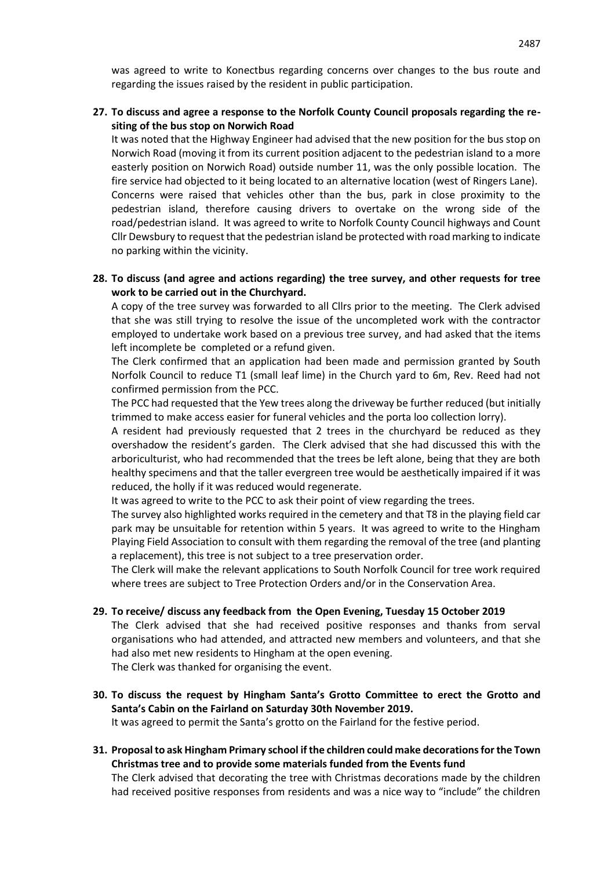was agreed to write to Konectbus regarding concerns over changes to the bus route and regarding the issues raised by the resident in public participation.

#### **27. To discuss and agree a response to the Norfolk County Council proposals regarding the resiting of the bus stop on Norwich Road**

It was noted that the Highway Engineer had advised that the new position for the bus stop on Norwich Road (moving it from its current position adjacent to the pedestrian island to a more easterly position on Norwich Road) outside number 11, was the only possible location. The fire service had objected to it being located to an alternative location (west of Ringers Lane). Concerns were raised that vehicles other than the bus, park in close proximity to the pedestrian island, therefore causing drivers to overtake on the wrong side of the road/pedestrian island. It was agreed to write to Norfolk County Council highways and Count Cllr Dewsbury to request that the pedestrian island be protected with road marking to indicate no parking within the vicinity.

#### **28. To discuss (and agree and actions regarding) the tree survey, and other requests for tree work to be carried out in the Churchyard.**

A copy of the tree survey was forwarded to all Cllrs prior to the meeting. The Clerk advised that she was still trying to resolve the issue of the uncompleted work with the contractor employed to undertake work based on a previous tree survey, and had asked that the items left incomplete be completed or a refund given.

The Clerk confirmed that an application had been made and permission granted by South Norfolk Council to reduce T1 (small leaf lime) in the Church yard to 6m, Rev. Reed had not confirmed permission from the PCC.

The PCC had requested that the Yew trees along the driveway be further reduced (but initially trimmed to make access easier for funeral vehicles and the porta loo collection lorry).

A resident had previously requested that 2 trees in the churchyard be reduced as they overshadow the resident's garden. The Clerk advised that she had discussed this with the arboriculturist, who had recommended that the trees be left alone, being that they are both healthy specimens and that the taller evergreen tree would be aesthetically impaired if it was reduced, the holly if it was reduced would regenerate.

It was agreed to write to the PCC to ask their point of view regarding the trees.

The survey also highlighted works required in the cemetery and that T8 in the playing field car park may be unsuitable for retention within 5 years. It was agreed to write to the Hingham Playing Field Association to consult with them regarding the removal of the tree (and planting a replacement), this tree is not subject to a tree preservation order.

The Clerk will make the relevant applications to South Norfolk Council for tree work required where trees are subject to Tree Protection Orders and/or in the Conservation Area.

#### **29. To receive/ discuss any feedback from the Open Evening, Tuesday 15 October 2019**

The Clerk advised that she had received positive responses and thanks from serval organisations who had attended, and attracted new members and volunteers, and that she had also met new residents to Hingham at the open evening.

The Clerk was thanked for organising the event.

**30. To discuss the request by Hingham Santa's Grotto Committee to erect the Grotto and Santa's Cabin on the Fairland on Saturday 30th November 2019.**

It was agreed to permit the Santa's grotto on the Fairland for the festive period.

**31. Proposal to ask Hingham Primary school if the children could make decorations for the Town Christmas tree and to provide some materials funded from the Events fund**

The Clerk advised that decorating the tree with Christmas decorations made by the children had received positive responses from residents and was a nice way to "include" the children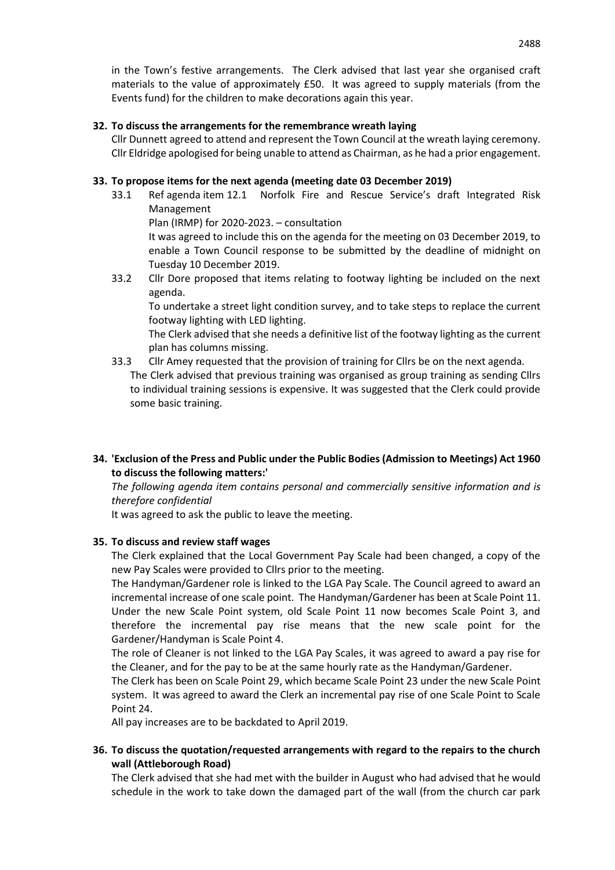in the Town's festive arrangements. The Clerk advised that last year she organised craft materials to the value of approximately £50. It was agreed to supply materials (from the Events fund) for the children to make decorations again this year.

### **32. To discuss the arrangements for the remembrance wreath laying**

Cllr Dunnett agreed to attend and represent the Town Council at the wreath laying ceremony. Cllr Eldridge apologised for being unable to attend as Chairman, as he had a prior engagement.

### **33. To propose items for the next agenda (meeting date 03 December 2019)**

33.1 Ref agenda item 12.1 Norfolk Fire and Rescue Service's draft Integrated Risk Management Plan (IRMP) for 2020-2023. – consultation

It was agreed to include this on the agenda for the meeting on 03 December 2019, to enable a Town Council response to be submitted by the deadline of midnight on Tuesday 10 December 2019.

33.2 Cllr Dore proposed that items relating to footway lighting be included on the next agenda.

To undertake a street light condition survey, and to take steps to replace the current footway lighting with LED lighting.

The Clerk advised that she needs a definitive list of the footway lighting as the current plan has columns missing.

- 33.3 Cllr Amey requested that the provision of training for Cllrs be on the next agenda. The Clerk advised that previous training was organised as group training as sending Cllrs to individual training sessions is expensive. It was suggested that the Clerk could provide some basic training.
- **34. 'Exclusion of the Press and Public under the Public Bodies (Admission to Meetings) Act 1960 to discuss the following matters:'**

*The following agenda item contains personal and commercially sensitive information and is therefore confidential* 

It was agreed to ask the public to leave the meeting.

### **35. To discuss and review staff wages**

The Clerk explained that the Local Government Pay Scale had been changed, a copy of the new Pay Scales were provided to Cllrs prior to the meeting.

The Handyman/Gardener role is linked to the LGA Pay Scale. The Council agreed to award an incremental increase of one scale point. The Handyman/Gardener has been at Scale Point 11. Under the new Scale Point system, old Scale Point 11 now becomes Scale Point 3, and therefore the incremental pay rise means that the new scale point for the Gardener/Handyman is Scale Point 4.

The role of Cleaner is not linked to the LGA Pay Scales, it was agreed to award a pay rise for the Cleaner, and for the pay to be at the same hourly rate as the Handyman/Gardener.

The Clerk has been on Scale Point 29, which became Scale Point 23 under the new Scale Point system. It was agreed to award the Clerk an incremental pay rise of one Scale Point to Scale Point 24.

All pay increases are to be backdated to April 2019.

### **36. To discuss the quotation/requested arrangements with regard to the repairs to the church wall (Attleborough Road)**

The Clerk advised that she had met with the builder in August who had advised that he would schedule in the work to take down the damaged part of the wall (from the church car park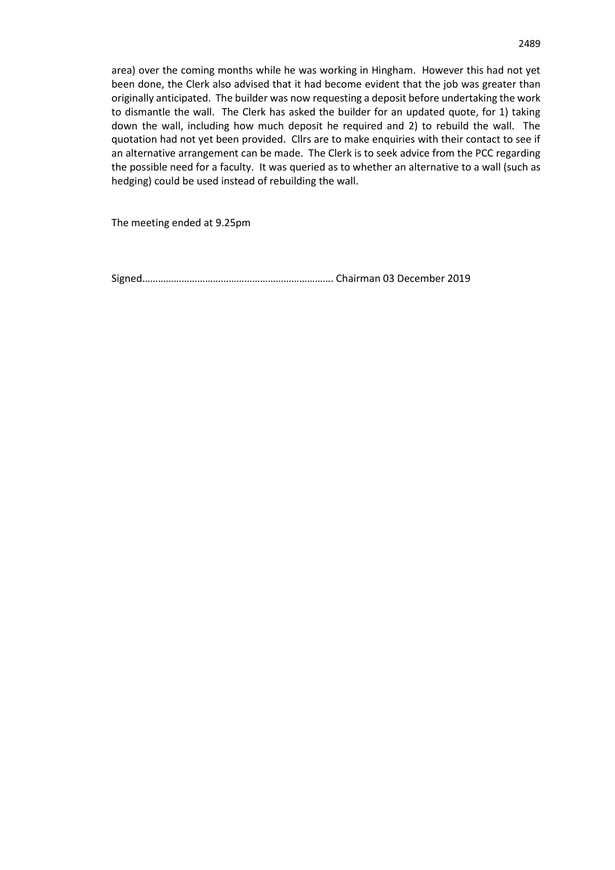area) over the coming months while he was working in Hingham. However this had not yet been done, the Clerk also advised that it had become evident that the job was greater than originally anticipated. The builder was now requesting a deposit before undertaking the work to dismantle the wall. The Clerk has asked the builder for an updated quote, for 1) taking down the wall, including how much deposit he required and 2) to rebuild the wall. The quotation had not yet been provided. Cllrs are to make enquiries with their contact to see if an alternative arrangement can be made. The Clerk is to seek advice from the PCC regarding the possible need for a faculty. It was queried as to whether an alternative to a wall (such as hedging) could be used instead of rebuilding the wall.

The meeting ended at 9.25pm

Signed………………………………………………………………. Chairman 03 December 2019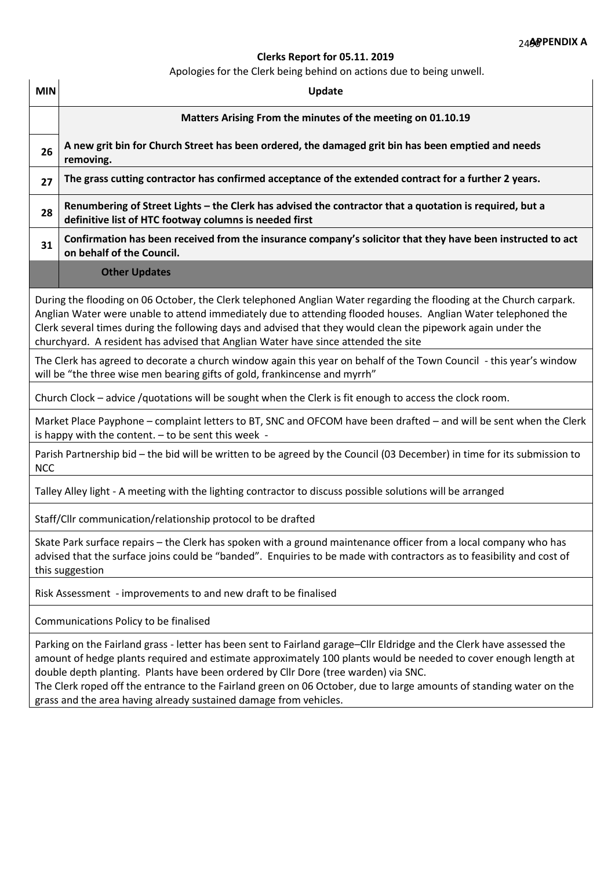# **Clerks Report for 05.11. 2019**

Apologies for the Clerk being behind on actions due to being unwell.

| <b>MIN</b>                                                                                                                                                                                                                                                                                                                                                                                                                                 | Update                                                                                                                                                                                                                                                                                                                                                                                                                                                 |  |  |  |  |  |
|--------------------------------------------------------------------------------------------------------------------------------------------------------------------------------------------------------------------------------------------------------------------------------------------------------------------------------------------------------------------------------------------------------------------------------------------|--------------------------------------------------------------------------------------------------------------------------------------------------------------------------------------------------------------------------------------------------------------------------------------------------------------------------------------------------------------------------------------------------------------------------------------------------------|--|--|--|--|--|
|                                                                                                                                                                                                                                                                                                                                                                                                                                            | Matters Arising From the minutes of the meeting on 01.10.19                                                                                                                                                                                                                                                                                                                                                                                            |  |  |  |  |  |
| 26                                                                                                                                                                                                                                                                                                                                                                                                                                         | A new grit bin for Church Street has been ordered, the damaged grit bin has been emptied and needs<br>removing.                                                                                                                                                                                                                                                                                                                                        |  |  |  |  |  |
| 27                                                                                                                                                                                                                                                                                                                                                                                                                                         | The grass cutting contractor has confirmed acceptance of the extended contract for a further 2 years.                                                                                                                                                                                                                                                                                                                                                  |  |  |  |  |  |
| 28                                                                                                                                                                                                                                                                                                                                                                                                                                         | Renumbering of Street Lights - the Clerk has advised the contractor that a quotation is required, but a<br>definitive list of HTC footway columns is needed first                                                                                                                                                                                                                                                                                      |  |  |  |  |  |
| 31                                                                                                                                                                                                                                                                                                                                                                                                                                         | Confirmation has been received from the insurance company's solicitor that they have been instructed to act<br>on behalf of the Council.                                                                                                                                                                                                                                                                                                               |  |  |  |  |  |
|                                                                                                                                                                                                                                                                                                                                                                                                                                            | <b>Other Updates</b>                                                                                                                                                                                                                                                                                                                                                                                                                                   |  |  |  |  |  |
| During the flooding on 06 October, the Clerk telephoned Anglian Water regarding the flooding at the Church carpark.<br>Anglian Water were unable to attend immediately due to attending flooded houses. Anglian Water telephoned the<br>Clerk several times during the following days and advised that they would clean the pipework again under the<br>churchyard. A resident has advised that Anglian Water have since attended the site |                                                                                                                                                                                                                                                                                                                                                                                                                                                        |  |  |  |  |  |
| The Clerk has agreed to decorate a church window again this year on behalf of the Town Council - this year's window<br>will be "the three wise men bearing gifts of gold, frankincense and myrrh"                                                                                                                                                                                                                                          |                                                                                                                                                                                                                                                                                                                                                                                                                                                        |  |  |  |  |  |
| Church Clock - advice /quotations will be sought when the Clerk is fit enough to access the clock room.                                                                                                                                                                                                                                                                                                                                    |                                                                                                                                                                                                                                                                                                                                                                                                                                                        |  |  |  |  |  |
| Market Place Payphone – complaint letters to BT, SNC and OFCOM have been drafted – and will be sent when the Clerk<br>is happy with the content. $-$ to be sent this week -                                                                                                                                                                                                                                                                |                                                                                                                                                                                                                                                                                                                                                                                                                                                        |  |  |  |  |  |
| Parish Partnership bid - the bid will be written to be agreed by the Council (03 December) in time for its submission to<br><b>NCC</b>                                                                                                                                                                                                                                                                                                     |                                                                                                                                                                                                                                                                                                                                                                                                                                                        |  |  |  |  |  |
| Talley Alley light - A meeting with the lighting contractor to discuss possible solutions will be arranged                                                                                                                                                                                                                                                                                                                                 |                                                                                                                                                                                                                                                                                                                                                                                                                                                        |  |  |  |  |  |
|                                                                                                                                                                                                                                                                                                                                                                                                                                            | Staff/Cllr communication/relationship protocol to be drafted                                                                                                                                                                                                                                                                                                                                                                                           |  |  |  |  |  |
| Skate Park surface repairs - the Clerk has spoken with a ground maintenance officer from a local company who has<br>advised that the surface joins could be "banded". Enquiries to be made with contractors as to feasibility and cost of<br>this suggestion                                                                                                                                                                               |                                                                                                                                                                                                                                                                                                                                                                                                                                                        |  |  |  |  |  |
| Risk Assessment - improvements to and new draft to be finalised                                                                                                                                                                                                                                                                                                                                                                            |                                                                                                                                                                                                                                                                                                                                                                                                                                                        |  |  |  |  |  |
| Communications Policy to be finalised                                                                                                                                                                                                                                                                                                                                                                                                      |                                                                                                                                                                                                                                                                                                                                                                                                                                                        |  |  |  |  |  |
|                                                                                                                                                                                                                                                                                                                                                                                                                                            | Parking on the Fairland grass - letter has been sent to Fairland garage-Cllr Eldridge and the Clerk have assessed the<br>amount of hedge plants required and estimate approximately 100 plants would be needed to cover enough length at<br>double depth planting. Plants have been ordered by Cllr Dore (tree warden) via SNC.<br>The Clerk roped off the entrance to the Fairland green on 06 October, due to large amounts of standing water on the |  |  |  |  |  |
|                                                                                                                                                                                                                                                                                                                                                                                                                                            | grass and the area having already sustained damage from vehicles.                                                                                                                                                                                                                                                                                                                                                                                      |  |  |  |  |  |